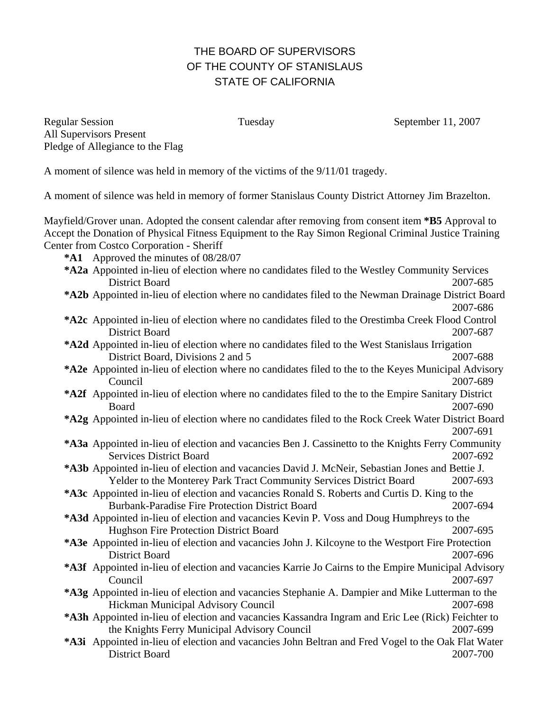# THE BOARD OF SUPERVISORS OF THE COUNTY OF STANISLAUS STATE OF CALIFORNIA

Regular Session Tuesday Tuesday September 11, 2007 All Supervisors Present Pledge of Allegiance to the Flag

A moment of silence was held in memory of the victims of the 9/11/01 tragedy.

A moment of silence was held in memory of former Stanislaus County District Attorney Jim Brazelton.

Mayfield/Grover unan. Adopted the consent calendar after removing from consent item **\*B5** Approval to Accept the Donation of Physical Fitness Equipment to the Ray Simon Regional Criminal Justice Training Center from Costco Corporation - Sheriff

- **\*A1** Approved the minutes of 08/28/07
- **\*A2 a** Appointed in-lieu of election where no candidates filed to the Westley Community Services District Board 2007-685
- **\*A2 b** Appointed in-lieu of election where no candidates filed to the Newman Drainage District Board 2007-686
- **\*A2 c** Appointed in-lieu of election where no candidates filed to the Orestimba Creek Flood Control District Board 2007-687
- \*A2d Appointed in-lieu of election where no candidates filed to the West Stanislaus Irrigation District Board, Divisions 2 and 5 2007-688
- **\*A2e** Appointed in-lieu of election where no candidates filed to the to the Keyes Municipal Advisory Council 2007-689
- **\*A2f** Appointed in-lieu of election where no candidates filed to the to the Empire Sanitary District Board 2007-690
- **\*A2 g** Appointed in-lieu of election where no candidates filed to the Rock Creek Water District Board 2007-691
- **\*A3a** Appointed in-lieu of election and vacancies Ben J. Cassinetto to the Knights Ferry Community Services District Board 2007-692
- **\*A3b** Appointed in-lieu of election and vacancies David J. McNeir, Sebastian Jones and Bettie J. Yelder to the Monterey Park Tract Community Services District Board 2007-693
- **\*A3c** Appointed in-lieu of election and vacancies Ronald S. Roberts and Curtis D. King to the Burbank-Paradise Fire Protection District Board 2007-694
- **\*A3d** Appointed in-lieu of election and vacancies Kevin P. Voss and Doug Humphreys to the Hughson Fire Protection District Board 2007-695
- **\*A3e** Appointed in-lieu of election and vacancies John J. Kilcoyne to the Westport Fire Protection District Board 2007-696
- **\*A3f** Appointed in-lieu of election and vacancies Karrie Jo Cairns to the Empire Municipal Advisory Council 2007-697
- **\*A3g** Appointed in-lieu of election and vacancies Stephanie A. Dampier and Mike Lutterman to the Hickman Municipal Advisory Council 2007-698
- **\*A3h** Appointed in-lieu of election and vacancies Kassandra Ingram and Eric Lee (Rick) Feichter to the Knights Ferry Municipal Advisory Council 2007-699
- **\*A3i** Appointed in-lieu of election and vacancies John Beltran and Fred Vogel to the Oak Flat Water District Board 2007-700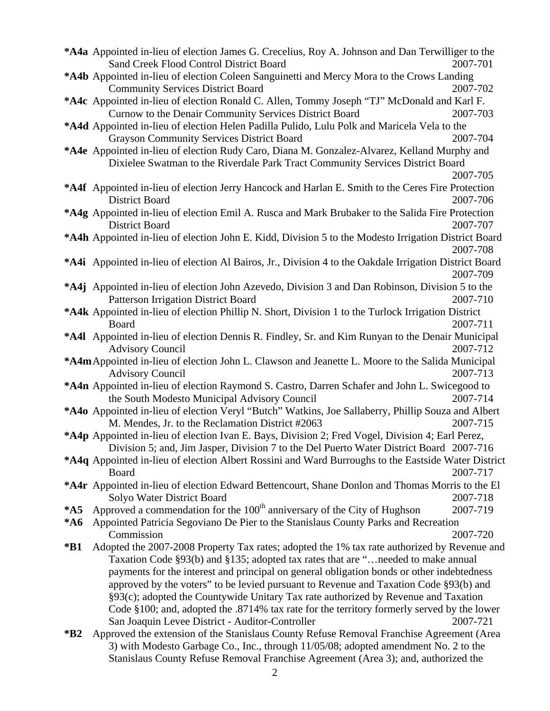|                                                                                                  | *A4a Appointed in-lieu of election James G. Crecelius, Roy A. Johnson and Dan Terwilliger to the                                                                                |          |  |
|--------------------------------------------------------------------------------------------------|---------------------------------------------------------------------------------------------------------------------------------------------------------------------------------|----------|--|
|                                                                                                  | <b>Sand Creek Flood Control District Board</b>                                                                                                                                  | 2007-701 |  |
|                                                                                                  | *A4b Appointed in-lieu of election Coleen Sanguinetti and Mercy Mora to the Crows Landing                                                                                       |          |  |
|                                                                                                  | <b>Community Services District Board</b>                                                                                                                                        | 2007-702 |  |
|                                                                                                  | *A4c Appointed in-lieu of election Ronald C. Allen, Tommy Joseph "TJ" McDonald and Karl F.                                                                                      |          |  |
|                                                                                                  | Curnow to the Denair Community Services District Board                                                                                                                          | 2007-703 |  |
|                                                                                                  | *A4d Appointed in-lieu of election Helen Padilla Pulido, Lulu Polk and Maricela Vela to the                                                                                     |          |  |
|                                                                                                  | <b>Grayson Community Services District Board</b>                                                                                                                                | 2007-704 |  |
|                                                                                                  | *A4e Appointed in-lieu of election Rudy Caro, Diana M. Gonzalez-Alvarez, Kelland Murphy and                                                                                     |          |  |
|                                                                                                  | Dixielee Swatman to the Riverdale Park Tract Community Services District Board                                                                                                  |          |  |
|                                                                                                  |                                                                                                                                                                                 | 2007-705 |  |
|                                                                                                  | *A4f Appointed in-lieu of election Jerry Hancock and Harlan E. Smith to the Ceres Fire Protection                                                                               |          |  |
|                                                                                                  | <b>District Board</b>                                                                                                                                                           | 2007-706 |  |
|                                                                                                  | *A4g Appointed in-lieu of election Emil A. Rusca and Mark Brubaker to the Salida Fire Protection                                                                                |          |  |
|                                                                                                  | <b>District Board</b>                                                                                                                                                           | 2007-707 |  |
|                                                                                                  | *A4h Appointed in-lieu of election John E. Kidd, Division 5 to the Modesto Irrigation District Board                                                                            |          |  |
|                                                                                                  |                                                                                                                                                                                 | 2007-708 |  |
|                                                                                                  | *A4i Appointed in-lieu of election Al Bairos, Jr., Division 4 to the Oakdale Irrigation District Board                                                                          |          |  |
|                                                                                                  |                                                                                                                                                                                 | 2007-709 |  |
|                                                                                                  | *A4j Appointed in-lieu of election John Azevedo, Division 3 and Dan Robinson, Division 5 to the                                                                                 |          |  |
|                                                                                                  | Patterson Irrigation District Board                                                                                                                                             | 2007-710 |  |
|                                                                                                  | *A4k Appointed in-lieu of election Phillip N. Short, Division 1 to the Turlock Irrigation District                                                                              |          |  |
|                                                                                                  | Board                                                                                                                                                                           | 2007-711 |  |
|                                                                                                  | *A4I Appointed in-lieu of election Dennis R. Findley, Sr. and Kim Runyan to the Denair Municipal                                                                                |          |  |
|                                                                                                  | <b>Advisory Council</b>                                                                                                                                                         | 2007-712 |  |
| *A4m Appointed in-lieu of election John L. Clawson and Jeanette L. Moore to the Salida Municipal |                                                                                                                                                                                 |          |  |
|                                                                                                  | <b>Advisory Council</b>                                                                                                                                                         | 2007-713 |  |
|                                                                                                  | *A4n Appointed in-lieu of election Raymond S. Castro, Darren Schafer and John L. Swicegood to                                                                                   |          |  |
|                                                                                                  | the South Modesto Municipal Advisory Council                                                                                                                                    | 2007-714 |  |
|                                                                                                  | *A40 Appointed in-lieu of election Veryl "Butch" Watkins, Joe Sallaberry, Phillip Souza and Albert                                                                              |          |  |
|                                                                                                  | M. Mendes, Jr. to the Reclamation District #2063                                                                                                                                | 2007-715 |  |
|                                                                                                  |                                                                                                                                                                                 |          |  |
|                                                                                                  |                                                                                                                                                                                 |          |  |
|                                                                                                  | *A4p Appointed in-lieu of election Ivan E. Bays, Division 2; Fred Vogel, Division 4; Earl Perez,                                                                                |          |  |
|                                                                                                  | Division 5; and, Jim Jasper, Division 7 to the Del Puerto Water District Board 2007-716                                                                                         |          |  |
|                                                                                                  | *A4q Appointed in-lieu of election Albert Rossini and Ward Burroughs to the Eastside Water District<br>Board                                                                    | 2007-717 |  |
|                                                                                                  |                                                                                                                                                                                 |          |  |
|                                                                                                  | *A4r Appointed in-lieu of election Edward Bettencourt, Shane Donlon and Thomas Morris to the El                                                                                 | 2007-718 |  |
| $*$ A5                                                                                           | Solyo Water District Board                                                                                                                                                      | 2007-719 |  |
| $*AG$                                                                                            | Approved a commendation for the 100 <sup>th</sup> anniversary of the City of Hughson                                                                                            |          |  |
|                                                                                                  | Appointed Patricia Segoviano De Pier to the Stanislaus County Parks and Recreation<br>Commission                                                                                | 2007-720 |  |
| $*B1$                                                                                            |                                                                                                                                                                                 |          |  |
|                                                                                                  | Adopted the 2007-2008 Property Tax rates; adopted the 1% tax rate authorized by Revenue and                                                                                     |          |  |
|                                                                                                  | Taxation Code §93(b) and §135; adopted tax rates that are "needed to make annual                                                                                                |          |  |
|                                                                                                  | payments for the interest and principal on general obligation bonds or other indebtedness                                                                                       |          |  |
|                                                                                                  | approved by the voters" to be levied pursuant to Revenue and Taxation Code §93(b) and                                                                                           |          |  |
|                                                                                                  | §93(c); adopted the Countywide Unitary Tax rate authorized by Revenue and Taxation                                                                                              |          |  |
|                                                                                                  | Code §100; and, adopted the .8714% tax rate for the territory formerly served by the lower                                                                                      | 2007-721 |  |
| $*B2$                                                                                            | San Joaquin Levee District - Auditor-Controller                                                                                                                                 |          |  |
|                                                                                                  | Approved the extension of the Stanislaus County Refuse Removal Franchise Agreement (Area<br>3) with Modesto Garbage Co., Inc., through 11/05/08; adopted amendment No. 2 to the |          |  |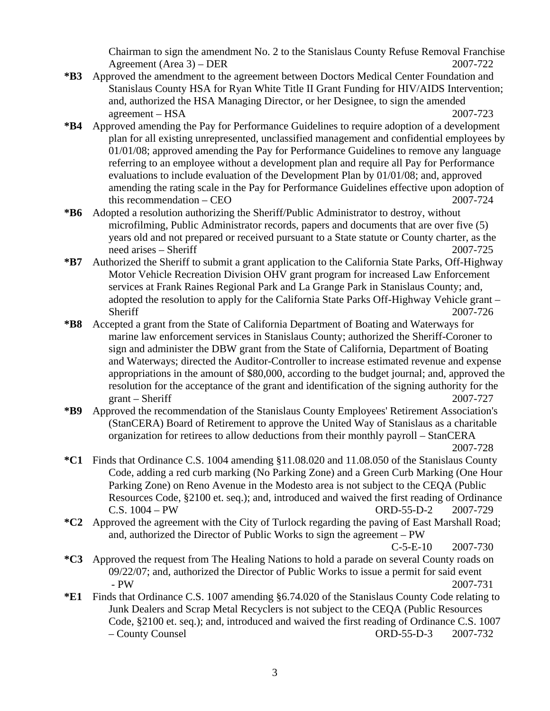Chairman to sign the amendment No. 2 to the Stanislaus County Refuse Removal Franchise Agreement (Area 3) – DER 2007-722

- **\*B3** Approved the amendment to the agreement between Doctors Medical Center Foundation and Stanislaus County HSA for Ryan White Title II Grant Funding for HIV/AIDS Intervention; and, authorized the HSA Managing Director, or her Designee, to sign the amended agreement – HSA 2007-723
- **\*B4** Approved amending the Pay for Performance Guidelines to require adoption of a development plan for all existing unrepresented, unclassified management and confidential employees by 01/01/08; approved amending the Pay for Performance Guidelines to remove any language referring to an employee without a development plan and require all Pay for Performance evaluations to include evaluation of the Development Plan by 01/01/08; and, approved amending the rating scale in the Pay for Performance Guidelines effective upon adoption of this recommendation – CEO 2007-724
- **\*B6** Adopted a resolution authorizing the Sheriff/Public Administrator to destroy, without microfilming, Public Administrator records, papers and documents that are over five (5) years old and not prepared or received pursuant to a State statute or County charter, as the need arises – Sheriff 2007-725
- **\*B7** Authorized the Sheriff to submit a grant application to the California State Parks, Off-Highway Motor Vehicle Recreation Division OHV grant program for increased Law Enforcement services at Frank Raines Regional Park and La Grange Park in Stanislaus County; and, adopted the resolution to apply for the California State Parks Off-Highway Vehicle grant – Sheriff 2007-726
- **\*B8** Accepted a grant from the State of California Department of Boating and Waterways for marine law enforcement services in Stanislaus County; authorized the Sheriff-Coroner to sign and administer the DBW grant from the State of California, Department of Boating and Waterways; directed the Auditor-Controller to increase estimated revenue and expense appropriations in the amount of \$80,000, according to the budget journal; and, approved the resolution for the acceptance of the grant and identification of the signing authority for the grant – Sheriff 2007-727
- **\*B9** Approved the recommendation of the Stanislaus County Employees' Retirement Association's (StanCERA) Board of Retirement to approve the United Way of Stanislaus as a charitable organization for retirees to allow deductions from their monthly payroll – StanCERA 2007-728
- **\*C1** Finds that Ordinance C.S. 1004 amending §11.08.020 and 11.08.050 of the Stanislaus County Code, adding a red curb marking (No Parking Zone) and a Green Curb Marking (One Hour Parking Zone) on Reno Avenue in the Modesto area is not subject to the CEQA (Public Resources Code, §2100 et. seq.); and, introduced and waived the first reading of Ordinance C.S. 1004 – PW ORD-55-D-2 2007-729
- **\*C2** Approved the agreement with the City of Turlock regarding the paving of East Marshall Road; and, authorized the Director of Public Works to sign the agreement – PW

C-5-E-10 2007-730

- **\*C3** Approved the request from The Healing Nations to hold a parade on several County roads on 09/22/07; and, authorized the Director of Public Works to issue a permit for said event - PW 2007-731
- **\*E1** Finds that Ordinance C.S. 1007 amending §6.74.020 of the Stanislaus County Code relating to Junk Dealers and Scrap Metal Recyclers is not subject to the CEQA (Public Resources Code, §2100 et. seq.); and, introduced and waived the first reading of Ordinance C.S. 1007 – County Counsel ORD-55-D-3 2007-732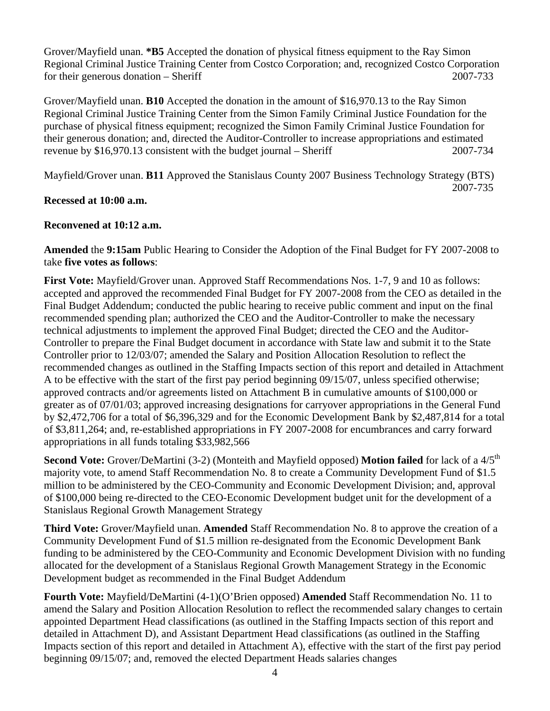Grover/Mayfield unan. **\*B5** Accepted the donation of physical fitness equipment to the Ray Simon Regional Criminal Justice Training Center from Costco Corporation; and, recognized Costco Corporation for their generous donation – Sheriff 2007-733

Grover/Mayfield unan. **B10** Accepted the donation in the amount of \$16,970.13 to the Ray Simon Regional Criminal Justice Training Center from the Simon Family Criminal Justice Foundation for the purchase of physical fitness equipment; recognized the Simon Family Criminal Justice Foundation for their generous donation; and, directed the Auditor-Controller to increase appropriations and estimated revenue by \$16,970.13 consistent with the budget journal – Sheriff 2007-734

Mayfield/Grover unan. **B11** Approved the Stanislaus County 2007 Business Technology Strategy (BTS) 2007-735

### **Recessed at 10:00 a.m.**

### **Reconvened at 10:12 a.m.**

**Amended** the **9:15am** Public Hearing to Consider the Adoption of the Final Budget for FY 2007-2008 to take **five votes as follows**:

**First Vote:** Mayfield/Grover unan. Approved Staff Recommendations Nos. 1-7, 9 and 10 as follows: accepted and approved the recommended Final Budget for FY 2007-2008 from the CEO as detailed in the Final Budget Addendum; conducted the public hearing to receive public comment and input on the final recommended spending plan; authorized the CEO and the Auditor-Controller to make the necessary technical adjustments to implement the approved Final Budget; directed the CEO and the Auditor-Controller to prepare the Final Budget document in accordance with State law and submit it to the State Controller prior to 12/03/07; amended the Salary and Position Allocation Resolution to reflect the recommended changes as outlined in the Staffing Impacts section of this report and detailed in Attachment A to be effective with the start of the first pay period beginning 09/15/07, unless specified otherwise; approved contracts and/or agreements listed on Attachment B in cumulative amounts of \$100,000 or greater as of 07/01/03; approved increasing designations for carryover appropriations in the General Fund by \$2,472,706 for a total of \$6,396,329 and for the Economic Development Bank by \$2,487,814 for a total of \$3,811,264; and, re-established appropriations in FY 2007-2008 for encumbrances and carry forward appropriations in all funds totaling \$33,982,566

**Second Vote:** Grover/DeMartini (3-2) (Monteith and Mayfield opposed) **Motion failed** for lack of a 4/5<sup>th</sup> majority vote, to amend Staff Recommendation No. 8 to create a Community Development Fund of \$1.5 million to be administered by the CEO-Community and Economic Development Division; and, approval of \$100,000 being re-directed to the CEO-Economic Development budget unit for the development of a Stanislaus Regional Growth Management Strategy

**Third Vote:** Grover/Mayfield unan. **Amended** Staff Recommendation No. 8 to approve the creation of a Community Development Fund of \$1.5 million re-designated from the Economic Development Bank funding to be administered by the CEO-Community and Economic Development Division with no funding allocated for the development of a Stanislaus Regional Growth Management Strategy in the Economic Development budget as recommended in the Final Budget Addendum

**Fourth Vote:** Mayfield/DeMartini (4-1)(O'Brien opposed) **Amended** Staff Recommendation No. 11 to amend the Salary and Position Allocation Resolution to reflect the recommended salary changes to certain appointed Department Head classifications (as outlined in the Staffing Impacts section of this report and detailed in Attachment D), and Assistant Department Head classifications (as outlined in the Staffing Impacts section of this report and detailed in Attachment A), effective with the start of the first pay period beginning 09/15/07; and, removed the elected Department Heads salaries changes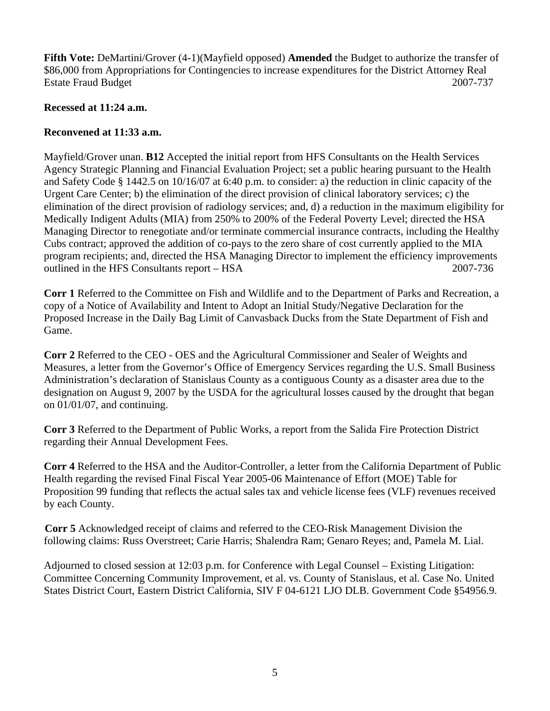**Fifth Vote:** DeMartini/Grover (4-1)(Mayfield opposed) **Amended** the Budget to authorize the transfer of \$86,000 from Appropriations for Contingencies to increase expenditures for the District Attorney Real Estate Fraud Budget 2007-737

#### **Recessed at 11:24 a.m.**

## **Reconvened at 11:33 a.m.**

Mayfield/Grover unan. **B12** Accepted the initial report from HFS Consultants on the Health Services Agency Strategic Planning and Financial Evaluation Project; set a public hearing pursuant to the Health and Safety Code § 1442.5 on 10/16/07 at 6:40 p.m. to consider: a) the reduction in clinic capacity of the Urgent Care Center; b) the elimination of the direct provision of clinical laboratory services; c) the elimination of the direct provision of radiology services; and, d) a reduction in the maximum eligibility for Medically Indigent Adults (MIA) from 250% to 200% of the Federal Poverty Level; directed the HSA Managing Director to renegotiate and/or terminate commercial insurance contracts, including the Healthy Cubs contract; approved the addition of co-pays to the zero share of cost currently applied to the MIA program recipients; and, directed the HSA Managing Director to implement the efficiency improvements outlined in the HFS Consultants report – HSA 2007-736

**Corr 1** Referred to the Committee on Fish and Wildlife and to the Department of Parks and Recreation, a copy of a Notice of Availability and Intent to Adopt an Initial Study/Negative Declaration for the Proposed Increase in the Daily Bag Limit of Canvasback Ducks from the State Department of Fish and Game.

**Corr 2** Referred to the CEO - OES and the Agricultural Commissioner and Sealer of Weights and Measures, a letter from the Governor's Office of Emergency Services regarding the U.S. Small Business Administration's declaration of Stanislaus County as a contiguous County as a disaster area due to the designation on August 9, 2007 by the USDA for the agricultural losses caused by the drought that began on 01/01/07, and continuing.

**Corr 3** Referred to the Department of Public Works, a report from the Salida Fire Protection District regarding their Annual Development Fees.

**Corr 4** Referred to the HSA and the Auditor-Controller, a letter from the California Department of Public Health regarding the revised Final Fiscal Year 2005-06 Maintenance of Effort (MOE) Table for Proposition 99 funding that reflects the actual sales tax and vehicle license fees (VLF) revenues received by each County.

**Corr 5** Acknowledged receipt of claims and referred to the CEO-Risk Management Division the following claims: Russ Overstreet; Carie Harris; Shalendra Ram; Genaro Reyes; and, Pamela M. Lial.

Adjourned to closed session at 12:03 p.m. for Conference with Legal Counsel – Existing Litigation: Committee Concerning Community Improvement, et al. vs. County of Stanislaus, et al. Case No. United States District Court, Eastern District California, SIV F 04-6121 LJO DLB. Government Code §54956.9.